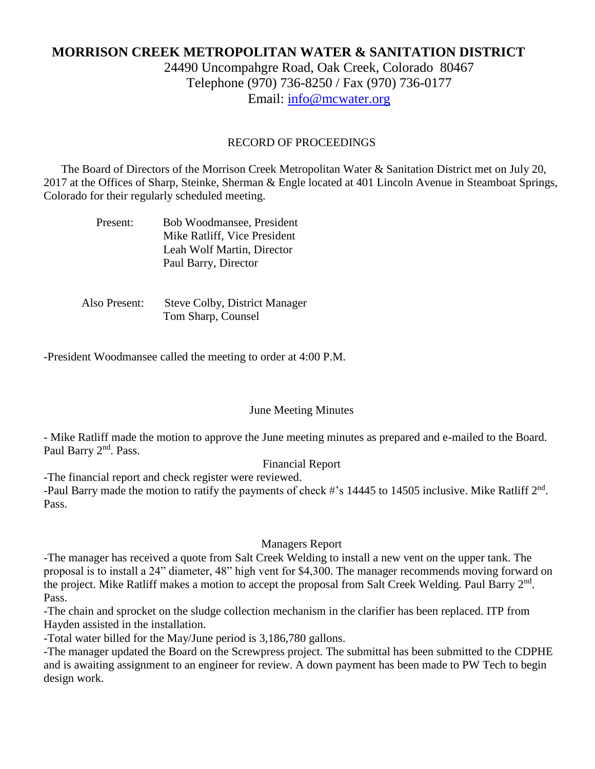# **MORRISON CREEK METROPOLITAN WATER & SANITATION DISTRICT**

24490 Uncompahgre Road, Oak Creek, Colorado 80467 Telephone (970) 736-8250 / Fax (970) 736-0177 Email: [info@mcwater.org](mailto:info@mcwater.org)

#### RECORD OF PROCEEDINGS

 The Board of Directors of the Morrison Creek Metropolitan Water & Sanitation District met on July 20, 2017 at the Offices of Sharp, Steinke, Sherman & Engle located at 401 Lincoln Avenue in Steamboat Springs, Colorado for their regularly scheduled meeting.

| Present: | Bob Woodmansee, President    |
|----------|------------------------------|
|          | Mike Ratliff, Vice President |
|          | Leah Wolf Martin, Director   |
|          | Paul Barry, Director         |

 Also Present: Steve Colby, District Manager Tom Sharp, Counsel

-President Woodmansee called the meeting to order at 4:00 P.M.

#### June Meeting Minutes

- Mike Ratliff made the motion to approve the June meeting minutes as prepared and e-mailed to the Board. Paul Barry 2<sup>nd</sup>. Pass.

## Financial Report

-The financial report and check register were reviewed. -Paul Barry made the motion to ratify the payments of check #'s 14445 to 14505 inclusive. Mike Ratliff 2<sup>nd</sup>. Pass.

# Managers Report

-The manager has received a quote from Salt Creek Welding to install a new vent on the upper tank. The proposal is to install a 24" diameter, 48" high vent for \$4,300. The manager recommends moving forward on the project. Mike Ratliff makes a motion to accept the proposal from Salt Creek Welding. Paul Barry  $2<sup>nd</sup>$ . Pass.

-The chain and sprocket on the sludge collection mechanism in the clarifier has been replaced. ITP from Hayden assisted in the installation.

-Total water billed for the May/June period is 3,186,780 gallons.

-The manager updated the Board on the Screwpress project. The submittal has been submitted to the CDPHE and is awaiting assignment to an engineer for review. A down payment has been made to PW Tech to begin design work.